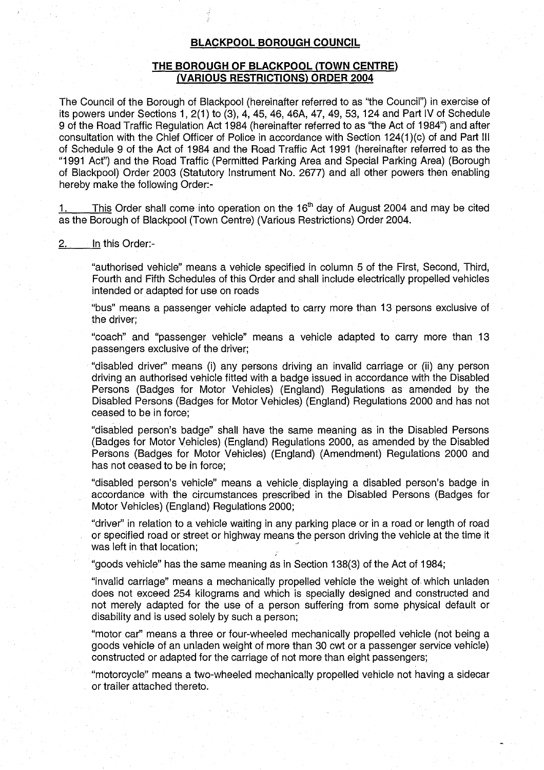# BLACKPOOL BOROUGH COUNCIL

## THE BOROUGH OF BLACKPOOL (TOWN CENTRE) (VARIOUS RESTRICTIONS) ORDER 2004

The Council of the Borough of Blackpool (hereinafter referred to as "the Council") in exercise of its powers under Sections 1, 2(1) to (3), 4, 45, 46, 46A, 47, 49, 53, 124 and Part IV of Schedule 9 of the Road Traffic Regulation Act 1984 (hereinafter referred to as "the Act of 1984") and after consultation with the Chief Officer of Police in accordance with Section 124(1)(c) of and Part III of Schedule 9 of the Act of 1984 and the Road Traffic Act 1991 (hereinafter referred to as the "1991 Act") and the Road Traffic (Permitted Parking Area and Special Parking Area) (Borough of Blackpool) Order 2003 (Statutory Instrument No. 2677) and all other powers then enabling hereby make the following Order:-

This Order shall come into operation on the  $16<sup>th</sup>$  day of August 2004 and may be cited as the Borough of Blackpool (Town Centre) (Various Restrictions) Order 2004.

#### 2. In this Order:-

"authorised vehicle" means a vehicle specified in column 5 of the First, Second, Third, Fourth and Fifth Schedules of this Order and shall include electrically propelled vehicles intended or adapted for use on roads

"bus" means a passenger vehicle adapted to carry more than 13 persons exclusive of the driver;

"coach" and "passenger vehicle" means a vehicle adapted to carry more than 13 passengers exclusive of the driver;

"disabled driver" means (i) any persons driving an invalid carriage or (ii) any person driving an authorised vehicle fitted with a badge issued in accordance with the Disabled Persons (Badges for Motor Vehicles) (England) Regulations as amended by the Disabled Persons (Badges for Motor Vehicles) (England) Regulations 2000 and has not ceased to be in force;

"disabled person's badge" shall have the same meaning as in the Disabled Persons (Badges for Motor Vehicles) (England) Regulations 2000, as amended by the Disabled Persons (Badges for Motor Vehicles) (England) (Amendment) Regulations 2000 and has not ceased to be in force:

"disabled person's vehicle" means a vehicle, displaying a disabled person's badge in accordance with the circumstances prescribed in the Disabled Persons (Badges for Motor Vehicles) (England) Regulations 2000;

"driver" in relation to a vehicle waiting in any parking place or in a road or length of road or specified road or street or highway means the person driving the vehicle at the time it was left in that location;

"goods vehicle" has the same meaning as in Section 138(3) of the Act of 1984;

"invalid carriage" means a mechanically propelled vehicle the weight of. which unladen does not exceed 254 kilograms and which is specially designed and constructed and not merely adapted for the use of a person suffering from some physical default or disability and is used solely by such a person;

"motor car" means a three or four-wheeled mechanically propelled vehicle (not being a goods vehicle of an unladen weight of more than 30 cwt or a passenger service vehicle) constructed or adapted for the carriage of not more than eight passengers;

"motorcycle" means a two-wheeled mechanically propelled vehicle not having a sidecar or trailer attached thereto.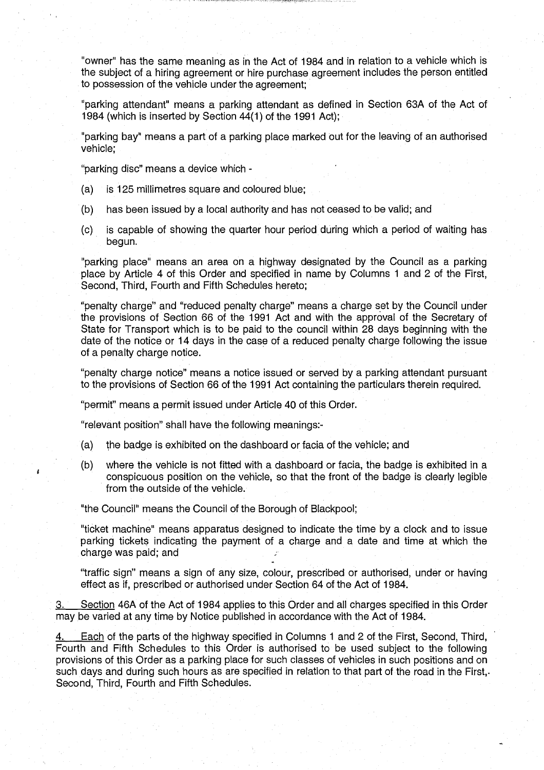"owner" has the same meaning as in the Act of 1984 and in relation to a vehicle which is the subject of a hiring agreement or hire purchase agreement includes the person entitled to possession of the vehicle under the agreement;

"parking attendant" means a parking attendant as defined in Section 63A of the Act of 1984 (which is inserted by Section 44(1) of the 1991 Act);

"parking bay" means a part of a parking place marked out for the leaving of an authorised vehicle;

"parking disc" means a device which -

- (a) is 125 millimetres square and coloured blue ;
- (b) has been issued by a local authority and has not ceased to be valid; and
- (c) is capable of showing the quarter hour period during which a period of waiting has begun.

"parking place" means an area on a highway designated by the Council as a parking place by Article 4 of this Order and specified in name by Columns <sup>1</sup> and 2 of the First, Second, Third, Fourth and Fifth Schedules hereto;

"penalty charge" and "reduced penalty charge" means a charge set by the Council under the provisions of Section 66 of the 1991 Act and with the approval of the Secretary of State for Transport which is to be paid to the council within 28 days beginning with the date of the notice or 14 days in the case of a reduced penalty charge following the issue of a penalty charge notice.

"penalty charge notice" means a notice issued or served by a parking attendant pursuant to the provisions of Section 66 of the 1991 Act containing the particulars therein required.

"permit" means a permit issued under Article 40 of this Order.

"relevant position" shall have the following meanings:-

- (a) the badge is exhibited on the dashboard or facia of the vehicle; and
- (b) where the vehicle is not fitted with a dashboard or facia, the badge is exhibited in a conspicuous position on the vehicle, so that the front of the badge is clearly legible from the outside of the vehicle.

"the Council" means the Council of the Borough of Blackpool;

"ticket machine" means apparatus designed to indicate the time by a clock and to issue parking tickets indicating the payment of a charge and a date and time at which the charge was paid; and

"traffic sign" means a sign of any size, colour, prescribed or authorised, under or having effect as if, prescribed or authorised under Section 64 of the Act of 1984.

3. Section 46A of the Act of 1984 applies to this Order and all charges specified in this Order may be varied at any time by Notice published in accordance with the Act of 1984.

4. Each of the parts of the highway specified in Columns <sup>1</sup> and 2 of the First, Second, Third, Fourth and Fifth Schedules to this Order is authorised to be used subject to the following provisions of this Order as a parking place for such classes of vehicles in such positions and on such days and during such hours as are specified in relation to that part of the road in the First,. Second, Third, Fourth and Fifth Schedules.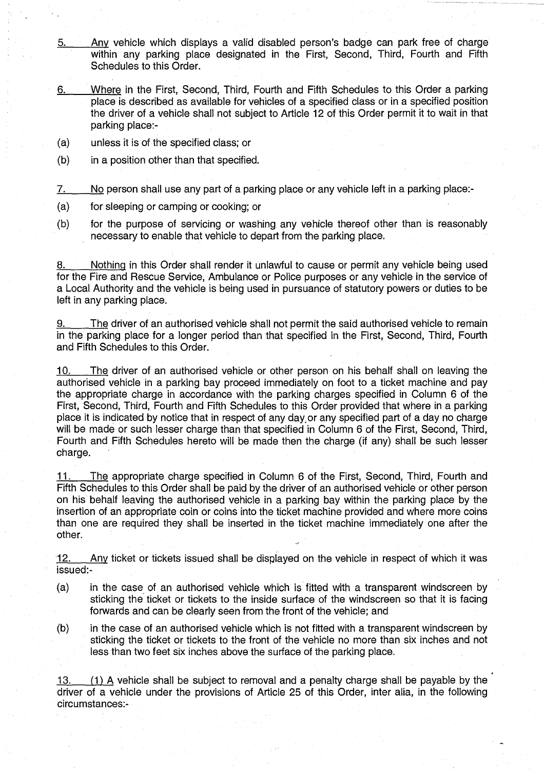- 5. Any vehicle which displays a valid disabled person's badge can park free of charge within any parking place designated in the First, Second, Third, Fourth and Fifth Schedules to this Order.
- Where in the First, Second, Third, Fourth and Fifth Schedules to this Order a parking 6. place is described as available for vehicles of a specified class or in a specified position the driver of a vehicle shall not subject to Article 12 of this Order permit it to wait in that parking place:-
- (a) unless it is of the specified class; or
- $(b)$  in a position other than that specified.

7. No person shall use any part of a parking place or any vehicle left in a parking place:-

- (a) for sleeping or camping or cooking; or
- (b) for the purpose of servicing or washing any vehicle thereof other than is reasonably necessary to enable that vehicle to depart from the parking place.

Nothing in this Order shall render it unlawful to cause or permit any vehicle being used for the Fire and Rescue Service, Ambulance or Police purposes or any vehicle in the service of a Local Authority and the vehicle is being used in pursuance of statutory powers or duties to be left in any parking place.

9. The driver of an authorised vehicle shall not permit the said authorised vehicle to remain in the parking place for a longer period than that specified in the First, Second, Third, Fourth and Fifth Schedules to this Order.

10. The driver of an authorised vehicle or other person on his behalf shall on leaving the authorised vehicle in a parking bay proceed immediately on foot to a ticket machine and pay the appropriate charge in accordance with the parking charges specified in Column 6 of the First, Second, Third, Fourth and Fifth Schedules to this Order provided that where in a parking place it is indicated by notice that in respect of any day.or any specified part of a day no charge will be made or such lesser charge than that specified in Column 6 of the First, Second, Third, Fourth and Fifth Schedules hereto will be made then the charge (if any) shall be such lesser charge.

11. The appropriate charge specified in Column 6 of the First, Second, Third, Fourth and Fifth Schedules to this Order shall be paid by the driver of an authorised vehicle or other person on his behalf leaving the authorised vehicle in a parking bay within the parking place by the insertion of an appropriate coin or coins into the ticket machine provided and where more coins than one are required they shall be inserted in the ticket machine immediately one after the other.

12. Any ticket or tickets issued shall be displayed on the vehicle in respect of which it was issued:-

- (a) in the case of an authorised vehicle which is fitted with a transparent windscreen by sticking the ticket or tickets to the inside surface of the windscreen so that it is facing forwards and can be clearly seen from the front of the vehicle; and
- (b) in the case of an authorised vehicle which is not fitted with a transparent windscreen by sticking the ticket or tickets to the front of the vehicle no more than six inches and not less than two feet six inches above the surface of the parking place.

13 . (1) A vehicle shall be subject to removal and a penalty charge shall be payable by the driver of a vehicle under the provisions of Article 25 of this Order, inter alia, in the following circumstances :-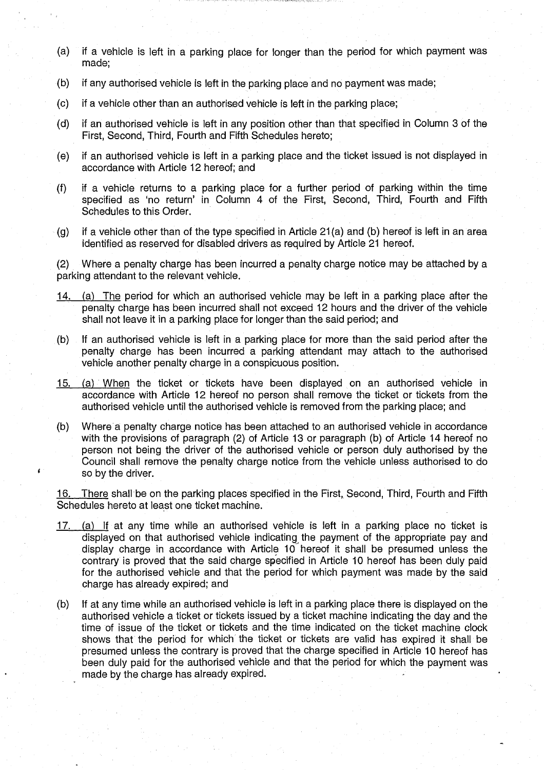- (a) if a vehicle is left in a parking place for longer than the period for which payment was made;
- (b) if any authorised vehicle is left in the parking place and no payment was made;
- (c) if a vehicle other than an authorised vehicle is left in the parking place;
- (d) if an authorised vehicle is left in any position other than that specified in Column 3 of the First, Second, Third, Fourth and Fifth Schedules hereto;
- (e) if an authorised vehicle is left in a parking place and the ticket issued is not displayed in accordance with Article 12 hereof; and
- if a vehicle returns to a parking place for a further period of parking within the time  $(f)$ specified as 'no return' in Column 4 of the First, Second, Third, Fourth and Fifth Schedules to this Order.
- $(g)$ if a vehicle other than of the type specified in Article 21 (a) and (b) hereof is left in an area identified as reserved for disabled drivers as required by Article 21 hereof.

(2) Where a penalty charge has been incurred a penalty charge notice may be attached by a parking attendant to the relevant vehicle.

- 14. (a) The period for which an authorised vehicle may be left in a parking place after the penalty charge has been incurred shall not exceed 12 hours and the driver of the vehicle shall not leave it in a parking place for longer than the said period; and
- (b) If an authorised vehicle is left in a parking place for more than the said period after the penalty charge has been incurred a parking attendant may attach to the authorised vehicle another penalty charge in a conspicuous position.
- 15. (a) When the ticket or tickets have been displayed on an authorised vehicle in accordance with Article 12 hereof no person shall remove the ticket or tickets from the authorised vehicle until the authorised vehicle is removed from the parking place; and
- (b) Where a penalty charge notice has been attached to an authorised vehicle in accordance with the provisions of paragraph (2) of Article 13 or paragraph (b) of Article 14 hereof no person not being the driver of the authorised vehicle or person duly authorised by the Council shall remove the penalty charge notice from the vehicle unless authorised to do so by the driver.

16. There shall be on the parking places specified in the First, Second, Third, Fourth and Fifth Schedules hereto at least one ticket machine.

- 17. (a) If at any time while an authorised vehicle is left in a parking place no ticket is displayed on that authorised vehicle indicating the payment of the appropriate pay and display charge in accordance with Article 10 hereof it shall be presumed unless the contrary is proved that the said charge specified in Article 10 hereof has been duly paid for the authorised vehicle and that the period for which payment was made by the said charge has already expired; and
- (b) If at any time while an authorised vehicle is left in a parking place there is displayed on the authorised vehicle a ticket or tickets issued by a ticket machine indicating the day and the time of issue of the ticket or tickets and the time indicated on the ticket machine clock shows that the period for which the ticket or tickets are valid has expired it shall be presumed unless the contrary is proved that the charge specified in Article 10 hereof has been duly paid for the authorised vehicle and that the period for which the payment was made by the charge has already expired.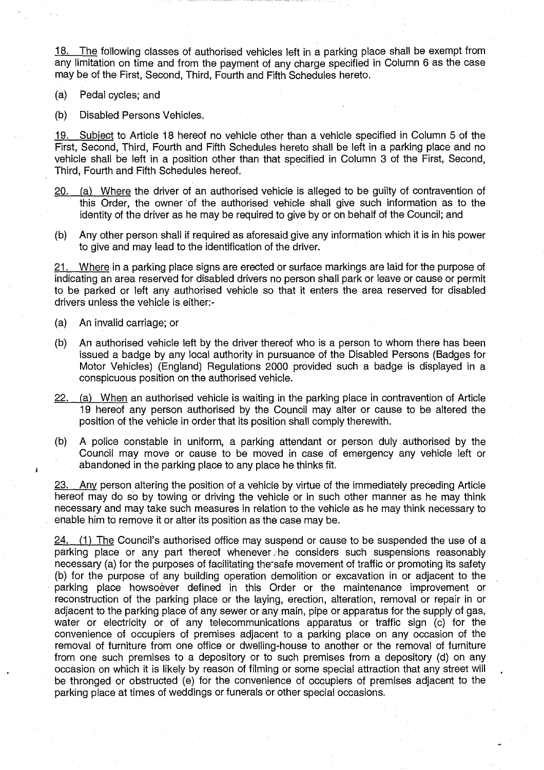18. The following classes of authorised vehicles left in a parking place shall be exempt from any limitation on time and from the payment of any charge specified in Column 6 as the case may be of the First, Second, Third, Fourth and Fifth Schedules hereto .

(a) Pedal cycles; and

(b) Disabled Persons Vehicles.

19. Subject to Article 18 hereof no vehicle other than a vehicle specified in Column 5 of the First, Second, Third, Fourth and Fifth Schedules hereto shall be left in a parking place and no vehicle shall be left in a position other than that specified in Column 3 of the First, Second, Third, Fourth and Fifth Schedules hereof.

- 20. (a) Where the driver of an authorised vehicle is alleged to be guilty of contravention of this Order, the owner of the authorised vehicle shall give such information as to the identity of the driver as he may be required to give by or on behalf of the Council; and
- (b) Any other person shall if required as aforesaid give any information which it is in his power to give and may lead to the identification of the driver.

21. Where in a parking place signs are erected or surface markings are laid for the purpose of indicating an area reserved for disabled drivers no person shall park or leave or cause or permit to be parked or left any authorised vehicle so that it enters the area reserved for disabled drivers unless the vehicle is either:-

(a) An invalid carriage; or

 $\mathbf{f}$ 

- (b) An authorised vehicle left by the driver thereof who is a person to whom there has been issued a badge by any local authority in pursuance of the Disabled Persons (Badges for Motor Vehicles) (England) Regulations 2000 provided such a badge is displayed in a conspicuous position on the authorised vehicle.
- $22.$  (a) When an authorised vehicle is waiting in the parking place in contravention of Article 19 hereof any person authorised by the Council may alter or cause to be altered the position of the vehicle in order that its position shall comply therewith.
- (b) A police constable in uniform, a parking attendant or person duly authorised by the Council may move or cause to be moved in case of emergency any vehicle left or abandoned in the parking place to any place he thinks fit.

23. Any person altering the position of a vehicle by virtue of the immediately preceding Article hereof may do so by towing or driving the vehicle or in such other manner as he may think necessary and may take such measures in relation to the vehicle as he may think necessary to enable him to remove it or alter its position as the case may be.

 $24.$  (1) The Council's authorised office may suspend or cause to be suspended the use of a parking place or any part thereof whenever he considers such suspensions reasonably necessary (a) for the purposes of facilitating the- safe movement of traffic or promoting its safety (b) for the purpose of any building operation demolition or excavation in or adjacent to the parking place howsoever defined in this Order or the maintenance improvement or reconstruction of the parking place or the laying, erection, alteration, removal or repair in or adjacent to the parking place of any sewer or any main, pipe or apparatus for the supply of gas, water or electricity or of any telecommunications apparatus or traffic sign (c) for the convenience of occupiers of premises adjacent to a parking place on any occasion of the removal of furniture from one office or dwelling-house to another or the removal of furniture from one such premises to a depository or to such premises from a depository (d) on any occasion on which it is likely by reason of filming or some special attraction that any street will be thronged or obstructed (e) for the convenience of occupiers of premises adjacent to the parking place at times of weddings or funerals or other special occasions.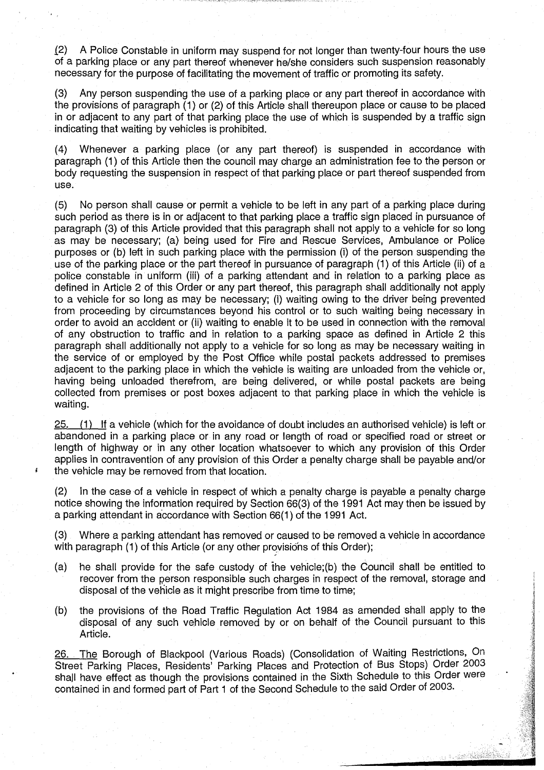12) A Police Constable in uniform may suspend for not longer than twenty-four hours the use of a parking place or any part thereof whenever he/she considers such suspension reasonably necessary for the purpose of facilitating the movement of traffic or promoting its safety.

(3) Any person suspending the use of a parking place or any part thereof in accordance with the provisions of paragraph (1) or (2) of this Article shall thereupon place or cause to be placed in or adjacent to any part of that parking place the use of which is suspended by a traffic sign indicating that waiting by vehicles is prohibited.

(4) Whenever a parking place (or any part thereof) is suspended in accordance with paragraph (1) of this Article then the council may charge an administration fee to the person or body requesting the suspension in respect of that parking place or part thereof suspended from use.

(5) No person shall cause or permit a vehicle to be left in any part of a parking place during such period as there is in or adjacent to that parking place a traffic sign placed in pursuance of paragraph (3) of this Article provided that this paragraph shall not apply to a vehicle for so long as may be necessary; (a) being used for Fire and Rescue Services, Ambulance or Police purposes or (b) left in such parking place with the permission (i) of the person suspending the use of the parking place or the part thereof in pursuance of paragraph (1) of this Article (ii) of a police constable in uniform (iii) of a parking attendant and in relation to a parking place as defined in Article 2 of this Order or any part thereof, this paragraph shall additionally not apply to a vehicle for so long as may be necessary; (i) waiting owing to the driver being prevented from proceeding by circumstances beyond his control or to such waiting being necessary in order to avoid an accident or (ii) waiting to enable it to be used in connection with the removal of any obstruction to traffic and in relation to a parking space as defined in Article 2 this paragraph shall additionally not apply to a vehicle for so long as may be necessary waiting in the service of or employed by the Post Office while postal packets addressed to premises adjacent to the parking place in which the vehicle is waiting are unloaded from the vehicle or, having being unloaded therefrom, are being delivered, or while postal packets are being collected from premises or post boxes adjacent to that parking place in which the vehicle is waiting.

25. (1) If a vehicle (which for the avoidance of doubt includes an authorised vehicle) is left or abandoned in a parking place or in any road or length of road or specified road or street or length of highway or in any other location whatsoever to which any provision of this Order applies in contravention of any provision of this Order a penalty charge shall be payable and/or the vehicle may be removed from that location.

(2) In the case of a vehicle in respect of which a penalty charge is payable a penalty charge notice showing the information required by Section 66(3) of the 1991 Act may then be issued by a parking attendant in accordance with Section 66(1) of the 1991 Act.

(3) Where a parking attendant has removed or caused to be removed a vehicle in accordance with paragraph (1) of this Article (or any other provisions of this Order);

- (a) he shall provide for the safe custody of the vehicle;(b) the Council shall be entitled to recover from the person responsible such charges in respect of the removal, storage and disposal of the vehicle as it might prescribe from time to time;
- (b) the provisions of the Road Traffic Regulation Act 1984 as amended shall apply to the disposal of any such vehicle removed by or on behalf of the Council pursuant to this Article.

26. The Borough of Blackpool (Various Roads) (Consolidation of Waiting Restrictions, On Street Parking Places, Residents' Parking Places and Protection of Bus Stops) Order 2003 shall have effect as though the provisions contained in the Sixth Schedule to this Order were contained in and formed part of Part <sup>1</sup> of the Second Schedule to the said Order of 2003.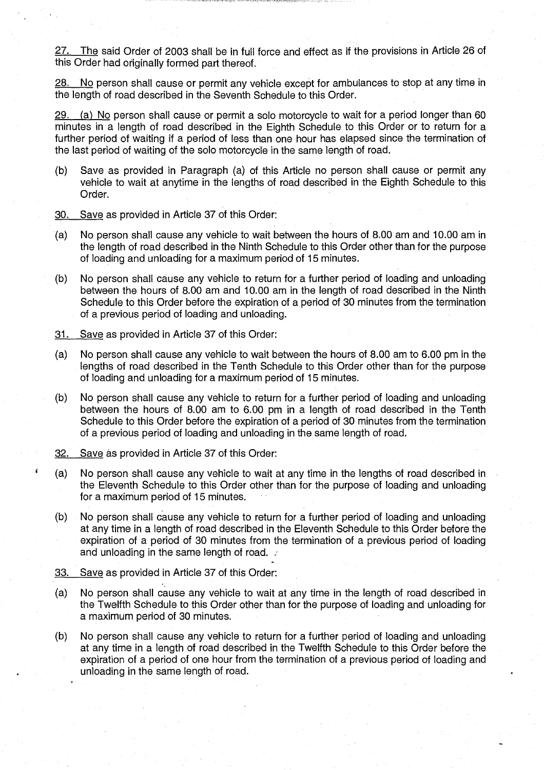27. The said Order of 2003 shall be in full force and effect as if the provisions in Article 26 of this Order had originally formed part thereof.

28. No person shall cause or permit any vehicle except for ambulances to stop at any time in the length of road described in the Seventh Schedule to this Order.

29. (a) No person shall cause or permit a solo motorcycle to wait for a period longer than 60 minutes in a length of road described in the Eighth Schedule to this Order or to return for a further period of waiting if a period of less than one hour has elapsed since the termination of the last period of waiting of the solo motorcycle in the same length of road.

- (b) Save as provided in Paragraph (a) of this Article no person shall cause or permit any vehicle to wait at anytime in the lengths of road described in the Eighth Schedule to this Order.
- 30. Save as provided in Article 37 of this Order:
- (a) No person shall cause any vehicle to wait between the hours of 8.00 am and 10 .00 am in the length of road described in the Ninth Schedule to this Order other than for the purpose of loading and unloading for a maximum period of 15 minutes.
- (b) No person shall cause any vehicle to return for a further period of loading and unloading between the hours of 8.00 am and 10.00 am in the length of road described in the Ninth Schedule to this Order before the expiration of a period of 30 minutes from the termination of a previous period of loading and unloading.
- 31. Save as provided in Article 37 of this Order:
- (a) No person shall cause any vehicle to wait between the hours of 8.00 am to 6 .00 pm in the lengths of road described in the Tenth Schedule to this Order other than for the purpose of loading and unloading for a maximum period of 15 minutes.
- (b) No person shall cause any vehicle to return for a further period of loading and unloading between the hours of 8.00 am to 6.00 pm in a length of road described in the Tenth Schedule to this Order before the expiration of a period of 30 minutes from the termination of a previous period of loading and unloading in the same length of road .
- 32. Save as provided in Article 37 of this Order:
- (a) No person shall cause any vehicle to wait at any time in the lengths of road described in the Eleventh Schedule to this Order other than for the purpose of loading and unloading for a maximum period of 15 minutes.
- (b) No person shall cause any vehicle to return for a further period of loading and unloading at any time in a length of road described in the Eleventh Schedule to this Order before the expiration of a period of 30 minutes from the termination of a previous period of loading and unloading in the same length of road.  $\therefore$
- 33. Save as provided in Article 37 of this Order:
- (a) No person shall cause any vehicle to wait at any time in the length of road described in the Twelfth Schedule to this Order other than for the purpose of loading and unloading for a maximum period of 30 minutes.
- (b) No person shall cause any vehicle to return for a further period of loading and unloading at any time in a length of road described in the Twelfth Schedule to this Order before the expiration of a period of one hour from the termination of a previous period of loading and unloading in the same length of road.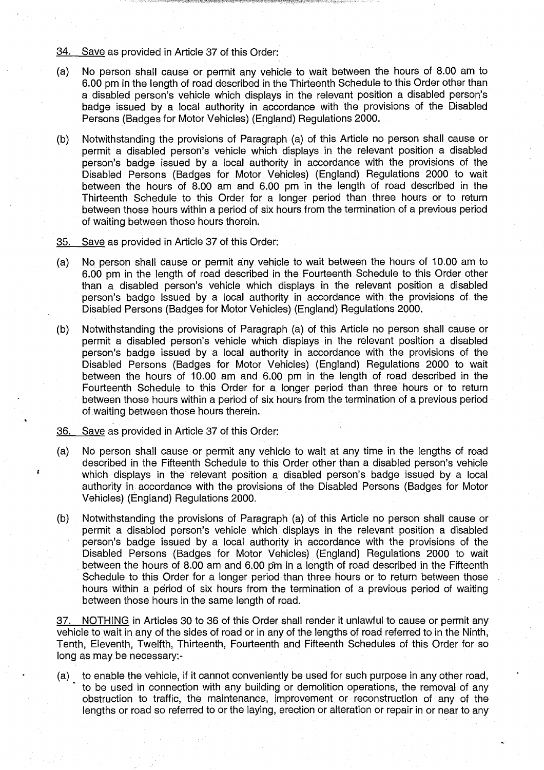34. Save as provided in Article 37 of this Order:

- (a) No person shall cause or permit any vehicle to wait between the hours of 8.00 am to 6.00 pm in the length of road described in the Thirteenth Schedule to this Order other than a disabled person's vehicle which displays in the relevant position a disabled person's badge issued by a local authority in accordance with the provisions of the Disabled Persons (Badges for Motor Vehicles) (England) Regulations 2000 .
- (b) Notwithstanding the provisions of Paragraph (a) of this Article no person shall cause or permit a disabled person's vehicle which displays in the relevant position a disabled person's badge issued by a local authority in accordance with the provisions of the Disabled Persons (Badges for Motor Vehicles) (England) Regulations 2000 to wait between the hours of 8.00 am and 6.00 pm in the length of road described in the Thirteenth Schedule to this Order for a longer period than three hours or to return between those hours within a period of six hours from the termination of a previous period of waiting between those hours therein.
- 35. Save as provided in Article 37 of this Order:
- (a) No person shall cause or permit any vehicle to wait between the hours of 10.00 am to 6 .00 pm in the length of road described in the Fourteenth Schedule to this Order other than a disabled person's vehicle which displays in the relevant position a disabled person's badge issued by a local authority in accordance with the provisions of the Disabled Persons (Badges for Motor Vehicles) (England) Regulations 2000.
- (b) Notwithstanding the provisions of Paragraph (a) of this Article no person shall cause or permit a disabled person's vehicle which displays in the relevant position a disabled person's badge issued by a local authority in accordance with the provisions of the Disabled Persons (Badges for Motor Vehicles) (England) Regulations 2000 to wait between the hours of <sup>10</sup> .00 am and 6.00 pm in the length of road described in the Fourteenth Schedule to this Order for a longer period than three hours or to return between those hours within a period of six hours from the termination of a previous period of waiting between those hours therein .
- 36. Save as provided in Article 37 of this Order:
- (a) No person shall cause or permit any vehicle to wait at any time in the lengths of road described in the Fifteenth Schedule to this Order other than a disabled person's vehicle which displays in the relevant position a disabled person's badge issued by a local authority in accordance with the provisions of the Disabled Persons (Badges for Motor Vehicles) (England) Regulations 2000.
- (b) Notwithstanding the provisions of Paragraph (a) of this Article no person shall cause or permit a disabled person's vehicle which displays in the relevant position a disabled person's badge issued by a local authority in accordance with the provisions of the Disabled Persons (Badges for Motor Vehicles) (England) Regulations 2000- to- wait between the hours of 8.00 am and 6 .00 pm in a length of road described in the Fifteenth Schedule to this Order for a longer period than three hours or to return between those hours within a period of six hours from the termination of a previous period of waiting between those hours in the same length of road.

37. NOTHING in Articles 30 to 36 of this Order shall render it unlawful to cause or permit any vehicle to wait in any of the sides of road or in any of the lengths of road referred to in the Ninth; Tenth, Eleventh, Twelfth, Thirteenth, Fourteenth and Fifteenth Schedules of this Order for so long as may be necessary:-

(a) to enable the vehicle, if it cannot conveniently be used for such purpose in any other road, ' to be used in connection with any building or demolition operations, the removal of any obstruction to traffic, the maintenance, improvement or reconstruction of any of the lengths or road so referred to or the laying, erection or alteration or repair in or near to any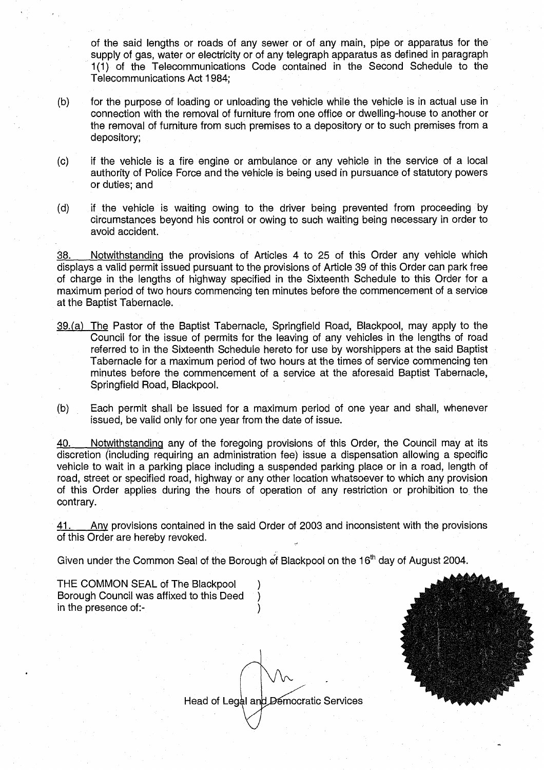of the said lengths or roads of any sewer or of any main, pipe or apparatus for the supply of gas, water or electricity or of any telegraph apparatus as defined in paragraph 1(1) of the Telecommunications Code contained in the Second Schedule to the Telecommunications Act 1984;

- (b) for the purpose of loading or unloading the vehicle while the vehicle is in actual use in connection with the removal of furniture from one office or dwelling-house to another or the removal of furniture from such premises to a depository or to such premises from a depository;
- (c) if the vehicle is a fire engine or ambulance or any vehicle in the service of a local authority of Police Force and the vehicle is being used in pursuance of statutory powers or duties; and
- (d) if the vehicle is waiting owing to the driver being prevented from proceeding by circumstances beyond his control or owing to such waiting being necessary in order to avoid accident.

38. Notwithstanding the provisions of Articles 4 to 25 of this Order any vehicle which displays a valid permit issued pursuant to the provisions of Article 39 of this Order can park free of charge in the lengths of highway specified in the Sixteenth Schedule to this Order for a maximum period of two hours commencing ten minutes before the commencement of a service at the Baptist Tabernacle .

- 39. (a) The Pastor of the Baptist Tabernacle, Springfield Road, Blackpool, may apply to the Council for the issue of permits for the leaving of any vehicles in the lengths of road referred to in the Sixteenth Schedule hereto for use by worshippers at the said Baptist Tabernacle for a maximum period of two hours at the times of service commencing ten minutes before the commencement of a service at the aforesaid Baptist Tabernacle, Springfield Road, Blackpool.
- (b) Each permit shall be issued for a maximum period of one year and shall, whenever issued, be valid only for one year from the date of issue.

40. Notwithstanding any of the foregoing provisions of this Order, the Council may at its discretion (including requiring an administration fee) issue a dispensation allowing a specific vehicle to wait in a parking place including a suspended parking place or in a road, length of road, street or specified road, highway or any other location whatsoever to which any provision of this Order applies during the hours of operation of any restriction or prohibition to. the contrary.

41. Any provisions contained in the said Order of 2003 and inconsistent with the provisions of this Order are hereby revoked.

Given under the Common Seal of the Borough of Blackpool on the 16<sup>th</sup> day of August 2004.

THE COMMON SEAL of The Blackpool (a)<br>Borough Council was affixed to this Deed Borough Council was affixed to this Deed ) in the presence of:-

Head of Legal and Democratic Services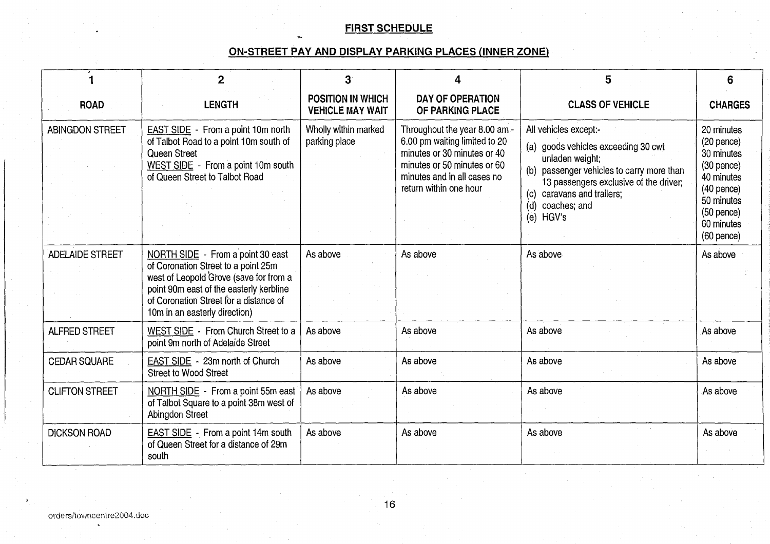# FIRST SCHEDULE

# ON-STREET PAY AND DISPLAY PARKING\_PLACES (INNER ZONE)

|                        | $\mathbf{2}$                                                                                                                                                                                                                             | 3                                                   | 4                                                                                                                                                                                     | 5                                                                                                                                                                                                                                             | 6                                                                                                                                                    |
|------------------------|------------------------------------------------------------------------------------------------------------------------------------------------------------------------------------------------------------------------------------------|-----------------------------------------------------|---------------------------------------------------------------------------------------------------------------------------------------------------------------------------------------|-----------------------------------------------------------------------------------------------------------------------------------------------------------------------------------------------------------------------------------------------|------------------------------------------------------------------------------------------------------------------------------------------------------|
| <b>ROAD</b>            | <b>LENGTH</b>                                                                                                                                                                                                                            | <b>POSITION IN WHICH</b><br><b>VEHICLE MAY WAIT</b> | <b>DAY OF OPERATION</b><br>OF PARKING PLACE                                                                                                                                           | <b>CLASS OF VEHICLE</b>                                                                                                                                                                                                                       | <b>CHARGES</b>                                                                                                                                       |
| <b>ABINGDON STREET</b> | <b>EAST SIDE</b> - From a point 10m north<br>of Talbot Road to a point 10m south of<br>Queen Street<br>WEST SIDE - From a point 10m south<br>of Queen Street to Talbot Road                                                              | Wholly within marked<br>parking place               | Throughout the year 8.00 am -<br>6.00 pm waiting limited to 20<br>minutes or 30 minutes or 40<br>minutes or 50 minutes or 60<br>minutes and in all cases no<br>return within one hour | All vehicles except:-<br>goods vehicles exceeding 30 cwt<br>(a)<br>unladen weight;<br>(b) passenger vehicles to carry more than<br>13 passengers exclusive of the driver;<br>(c) caravans and trailers;<br>coaches; and<br>(d)<br>(e) $HGV's$ | 20 minutes<br>(20 pence)<br>30 minutes<br>$(30$ pence $)$<br>40 minutes<br>(40 pence)<br>50 minutes<br>$(50$ pence)<br>60 minutes<br>$(60$ pence $)$ |
| <b>ADELAIDE STREET</b> | NORTH SIDE - From a point 30 east<br>of Coronation Street to a point 25m<br>west of Leopold Grove (save for from a<br>point 90m east of the easterly kerbline<br>of Coronation Street for a distance of<br>10m in an easterly direction) | As above                                            | As above                                                                                                                                                                              | As above                                                                                                                                                                                                                                      | As above                                                                                                                                             |
| <b>ALFRED STREET</b>   | WEST SIDE - From Church Street to a<br>point 9m north of Adelaide Street                                                                                                                                                                 | As above                                            | As above                                                                                                                                                                              | As above                                                                                                                                                                                                                                      | As above                                                                                                                                             |
| <b>CEDAR SQUARE</b>    | EAST SIDE - 23m north of Church<br><b>Street to Wood Street</b>                                                                                                                                                                          | As above                                            | As above                                                                                                                                                                              | As above                                                                                                                                                                                                                                      | As above                                                                                                                                             |
| <b>CLIFTON STREET</b>  | NORTH SIDE - From a point 55m east<br>of Talbot Square to a point 38m west of<br>Abingdon Street                                                                                                                                         | As above                                            | As above                                                                                                                                                                              | As above                                                                                                                                                                                                                                      | As above                                                                                                                                             |
| <b>DICKSON ROAD</b>    | EAST SIDE - From a point 14m south<br>of Queen Street for a distance of 29m<br>south                                                                                                                                                     | As above                                            | As above                                                                                                                                                                              | As above                                                                                                                                                                                                                                      | As above                                                                                                                                             |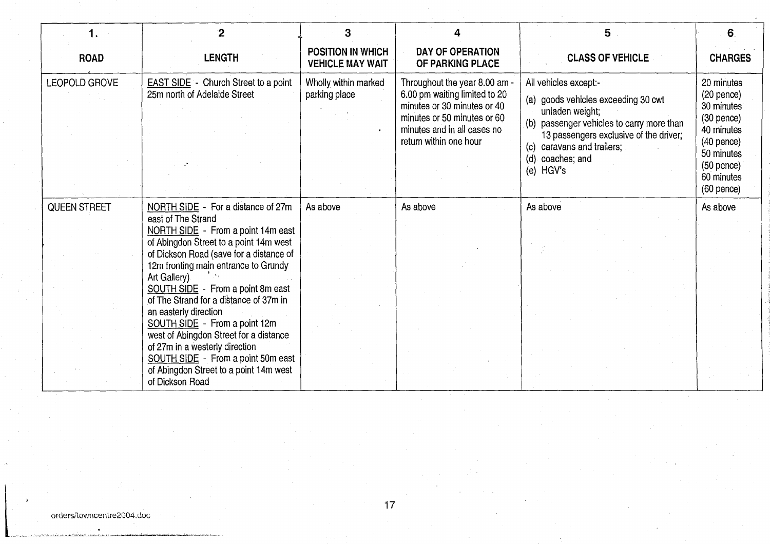| 1.                  | $\mathbf{2}$                                                                                                                                                                                                                                                                                                         | 3                                                   |                                                                                                                                                                                       | 5                                                                                                                                                                                                                                       | 6                                                                                                                                                     |
|---------------------|----------------------------------------------------------------------------------------------------------------------------------------------------------------------------------------------------------------------------------------------------------------------------------------------------------------------|-----------------------------------------------------|---------------------------------------------------------------------------------------------------------------------------------------------------------------------------------------|-----------------------------------------------------------------------------------------------------------------------------------------------------------------------------------------------------------------------------------------|-------------------------------------------------------------------------------------------------------------------------------------------------------|
| <b>ROAD</b>         | <b>LENGTH</b>                                                                                                                                                                                                                                                                                                        | <b>POSITION IN WHICH</b><br><b>VEHICLE MAY WAIT</b> | <b>DAY OF OPERATION</b><br>OF PARKING PLACE                                                                                                                                           | <b>CLASS OF VEHICLE</b>                                                                                                                                                                                                                 | <b>CHARGES</b>                                                                                                                                        |
| LEOPOLD GROVE       | <b>EAST SIDE</b> - Church Street to a point<br>25m north of Adelaide Street                                                                                                                                                                                                                                          | Wholly within marked<br>parking place               | Throughout the year 8.00 am -<br>6.00 pm waiting limited to 20<br>minutes or 30 minutes or 40<br>minutes or 50 minutes or 60<br>minutes and in all cases no<br>return within one hour | All vehicles except:-<br>(a) goods vehicles exceeding 30 cwt<br>unladen weight;<br>(b) passenger vehicles to carry more than<br>13 passengers exclusive of the driver;<br>(c) caravans and trailers;<br>(d) coaches; and<br>(e) $HGV's$ | 20 minutes<br>$(20$ pence $)$<br>30 minutes<br>$(30$ pence)<br>40 minutes<br>$(40$ pence)<br>50 minutes<br>$(50$ pence)<br>60 minutes<br>$(60$ pence) |
| <b>QUEEN STREET</b> | NORTH SIDE - For a distance of 27m                                                                                                                                                                                                                                                                                   | As above                                            | As above                                                                                                                                                                              | As above                                                                                                                                                                                                                                | As above                                                                                                                                              |
|                     | east of The Strand<br>NORTH SIDE - From a point 14m east<br>of Abingdon Street to a point 14m west<br>of Dickson Road (save for a distance of<br>12m fronting main entrance to Grundy<br>Art Gallery)                                                                                                                |                                                     |                                                                                                                                                                                       |                                                                                                                                                                                                                                         |                                                                                                                                                       |
|                     | SOUTH SIDE - From a point 8m east<br>of The Strand for a distance of 37m in<br>an easterly direction<br>SOUTH SIDE - From a point 12m<br>west of Abingdon Street for a distance<br>of 27m in a westerly direction<br>SOUTH SIDE - From a point 50m east<br>of Abingdon Street to a point 14m west<br>of Dickson Road |                                                     |                                                                                                                                                                                       |                                                                                                                                                                                                                                         |                                                                                                                                                       |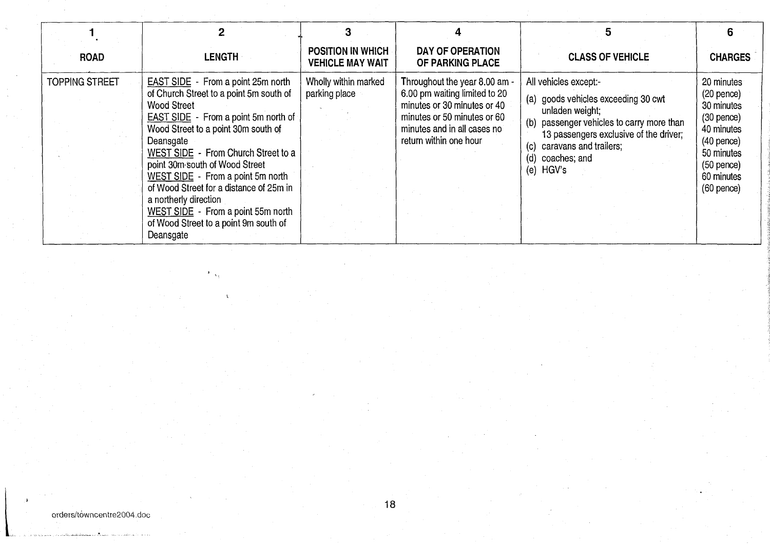| <b>ROAD</b>           | <b>LENGTH</b>                                                                                                                                                                                                                                                                                                                                                                                                                                                                               | <b>POSITION IN WHICH</b><br><b>VEHICLE MAY WAIT</b> | DAY OF OPERATION<br>OF PARKING PLACE                                                                                                                                                  | <b>CLASS OF VEHICLE</b>                                                                                                                                                                                                                        | <b>CHARGES</b>                                                                                                                                        |
|-----------------------|---------------------------------------------------------------------------------------------------------------------------------------------------------------------------------------------------------------------------------------------------------------------------------------------------------------------------------------------------------------------------------------------------------------------------------------------------------------------------------------------|-----------------------------------------------------|---------------------------------------------------------------------------------------------------------------------------------------------------------------------------------------|------------------------------------------------------------------------------------------------------------------------------------------------------------------------------------------------------------------------------------------------|-------------------------------------------------------------------------------------------------------------------------------------------------------|
| <b>TOPPING STREET</b> | <b>EAST SIDE</b> - From a point 25m north<br>of Church Street to a point 5m south of<br><b>Wood Street</b><br><b>EAST SIDE</b> - From a point 5m north of<br>Wood Street to a point 30m south of<br>Deansgate<br>WEST SIDE - From Church Street to a<br>point 30m south of Wood Street<br>WEST SIDE - From a point 5m north<br>of Wood Street for a distance of 25m in<br>a northerly direction<br>WEST SIDE - From a point 55m north<br>of Wood Street to a point 9m south of<br>Deansgate | Wholly within marked<br>parking place               | Throughout the year 8.00 am -<br>6.00 pm waiting limited to 20<br>minutes or 30 minutes or 40<br>minutes or 50 minutes or 60<br>minutes and in all cases no<br>return within one hour | All vehicles except:-<br>(a) goods vehicles exceeding 30 cwt<br>unladen weight;<br>(b) passenger vehicles to carry more than<br>13 passengers exclusive of the driver;<br>caravans and trailers;<br>(C)<br>coaches; and<br>(d)<br>HGV's<br>(e) | 20 minutes<br>$(20$ pence $)$<br>30 minutes<br>$(30$ pence)<br>40 minutes<br>$(40$ pence)<br>50 minutes<br>$(50$ pence)<br>60 minutes<br>$(60$ pence) |

 $\mathcal{F}_{\mathcal{A}_\mathcal{A}}$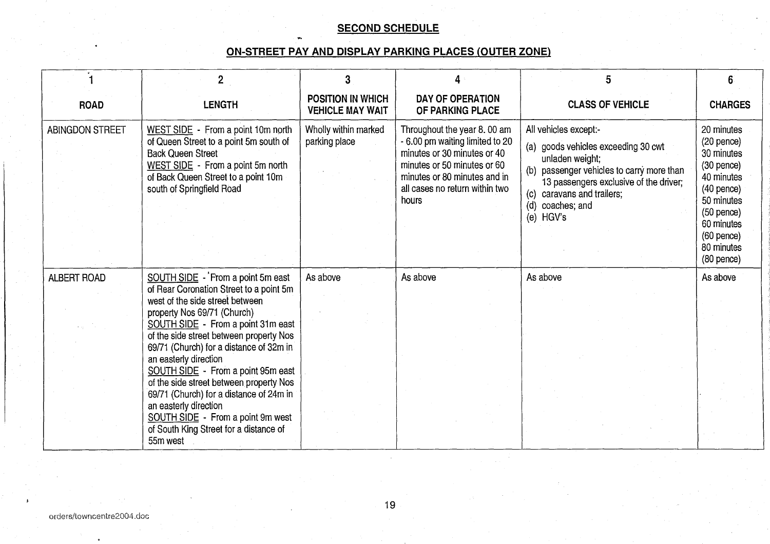# SECOND SCHEDULE

# ON-STREET PAY AND DISPLAY PARKING PLACES (OUTER ZONE)

|                        | $\overline{2}$                                                                                                                                                                                                    | 3                                                   | 4 <sup>°</sup>                                                                                                                                                                                          | 5                                                                                                                                                                                                                                     | 6 <sup>1</sup>                                                                                                                                                                   |
|------------------------|-------------------------------------------------------------------------------------------------------------------------------------------------------------------------------------------------------------------|-----------------------------------------------------|---------------------------------------------------------------------------------------------------------------------------------------------------------------------------------------------------------|---------------------------------------------------------------------------------------------------------------------------------------------------------------------------------------------------------------------------------------|----------------------------------------------------------------------------------------------------------------------------------------------------------------------------------|
| <b>ROAD</b>            | <b>LENGTH</b>                                                                                                                                                                                                     | <b>POSITION IN WHICH</b><br><b>VEHICLE MAY WAIT</b> | <b>DAY OF OPERATION</b><br>OF PARKING PLACE                                                                                                                                                             | <b>CLASS OF VEHICLE</b>                                                                                                                                                                                                               | <b>CHARGES</b>                                                                                                                                                                   |
| <b>ABINGDON STREET</b> | WEST SIDE - From a point 10m north<br>of Queen Street to a point 5m south of<br><b>Back Queen Street</b><br>WEST SIDE - From a point 5m north<br>of Back Queen Street to a point 10m<br>south of Springfield Road | Wholly within marked<br>parking place               | Throughout the year 8.00 am<br>- 6.00 pm waiting limited to 20<br>minutes or 30 minutes or 40<br>minutes or 50 minutes or 60<br>minutes or 80 minutes and in<br>all cases no return within two<br>hours | All vehicles except:-<br>(a) goods vehicles exceeding 30 cwt<br>unladen weight;<br>(b) passenger vehicles to carry more than<br>13 passengers exclusive of the driver;<br>(c) caravans and trailers;<br>(d) coaches; and<br>(e) HGV's | 20 minutes<br>$(20$ pence)<br>30 minutes<br>$(30$ pence)<br>40 minutes<br>$(40$ pence)<br>50 minutes<br>$(50$ pence)<br>60 minutes<br>$(60$ pence)<br>80 minutes<br>$(80$ pence) |
| <b>ALBERT ROAD</b>     | SOUTH SIDE - From a point 5m east                                                                                                                                                                                 | As above                                            | As above                                                                                                                                                                                                | As above                                                                                                                                                                                                                              | As above                                                                                                                                                                         |
|                        | of Rear Coronation Street to a point 5m<br>west of the side street between<br>property Nos 69/71 (Church)<br>SOUTH SIDE - From a point 31m east<br>of the side street between property Nos                        |                                                     |                                                                                                                                                                                                         |                                                                                                                                                                                                                                       |                                                                                                                                                                                  |
|                        | 69/71 (Church) for a distance of 32m in<br>an easterly direction<br>SOUTH SIDE - From a point 95m east                                                                                                            |                                                     |                                                                                                                                                                                                         |                                                                                                                                                                                                                                       |                                                                                                                                                                                  |
|                        | of the side street between property Nos<br>69/71 (Church) for a distance of 24m in<br>an easterly direction                                                                                                       |                                                     |                                                                                                                                                                                                         |                                                                                                                                                                                                                                       |                                                                                                                                                                                  |
|                        | SOUTH SIDE - From a point 9m west<br>of South King Street for a distance of<br>55m west                                                                                                                           |                                                     |                                                                                                                                                                                                         |                                                                                                                                                                                                                                       |                                                                                                                                                                                  |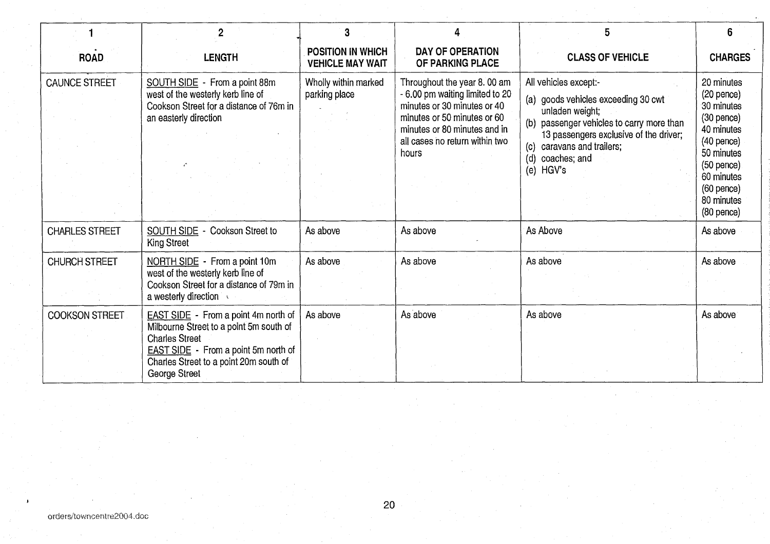|                       |                                                                                                                                                                                                                           | 3                                            | 4                                                                                                                                                                                                       | 5                                                                                                                                                                                                                                              |                                                                                                                                                                                  |
|-----------------------|---------------------------------------------------------------------------------------------------------------------------------------------------------------------------------------------------------------------------|----------------------------------------------|---------------------------------------------------------------------------------------------------------------------------------------------------------------------------------------------------------|------------------------------------------------------------------------------------------------------------------------------------------------------------------------------------------------------------------------------------------------|----------------------------------------------------------------------------------------------------------------------------------------------------------------------------------|
| <b>ROAD</b>           | <b>LENGTH</b>                                                                                                                                                                                                             | POSITION IN WHICH<br><b>VEHICLE MAY WAIT</b> | DAY OF OPERATION<br>OF PARKING PLACE                                                                                                                                                                    | <b>CLASS OF VEHICLE</b>                                                                                                                                                                                                                        | <b>CHARGES</b>                                                                                                                                                                   |
| <b>CAUNCE STREET</b>  | SOUTH SIDE - From a point 88m<br>west of the westerly kerb line of<br>Cookson Street for a distance of 76m in<br>an easterly direction                                                                                    | Wholly within marked<br>parking place        | Throughout the year 8.00 am<br>- 6.00 pm waiting limited to 20<br>minutes or 30 minutes or 40<br>minutes or 50 minutes or 60<br>minutes or 80 minutes and in<br>all cases no return within two<br>hours | All vehicles except:-<br>(a) goods vehicles exceeding 30 cwt<br>unladen weight;<br>(b) passenger vehicles to carry more than<br>13 passengers exclusive of the driver;<br>caravans and trailers;<br>(c)<br>(d)<br>coaches; and<br>HGV's<br>(e) | 20 minutes<br>$(20$ pence $)$<br>30 minutes<br>(30 pence)<br>40 minutes<br>$(40$ pence)<br>50 minutes<br>$(50$ pence).<br>60 minutes<br>$(60$ pence)<br>80 minutes<br>(80 pence) |
| <b>CHARLES STREET</b> | SOUTH SIDE - Cookson Street to<br>King Street                                                                                                                                                                             | As above                                     | As above                                                                                                                                                                                                | As Above                                                                                                                                                                                                                                       | As above                                                                                                                                                                         |
| <b>CHURCH STREET</b>  | NORTH SIDE - From a point 10m<br>west of the westerly kerb line of<br>Cookson Street for a distance of 79m in<br>a westerly direction                                                                                     | As above                                     | As above                                                                                                                                                                                                | As above                                                                                                                                                                                                                                       | As above                                                                                                                                                                         |
| <b>COOKSON STREET</b> | <b>EAST SIDE</b> - From a point 4m north of<br>Milbourne Street to a point 5m south of<br><b>Charles Street</b><br><b>EAST SIDE</b> - From a point 5m north of<br>Charles Street to a point 20m south of<br>George Street | As above                                     | As above                                                                                                                                                                                                | As above                                                                                                                                                                                                                                       | As above                                                                                                                                                                         |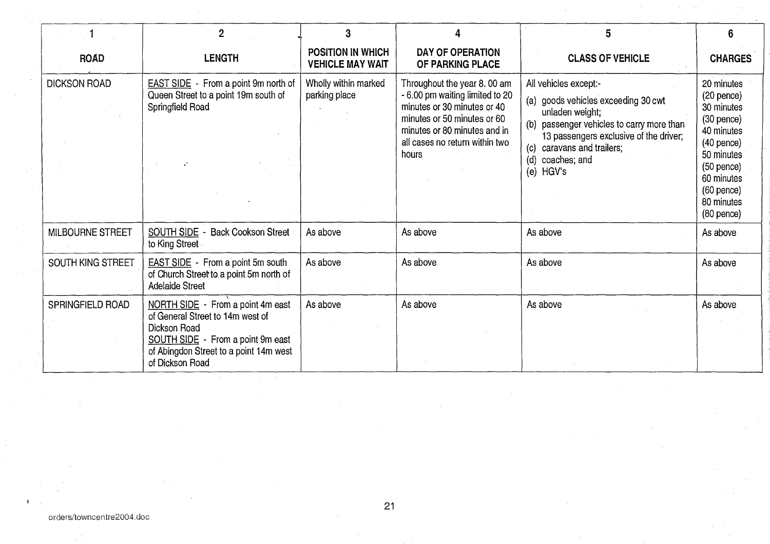|                     |                                                                                                                                                                                         | 3                                                   |                                                                                                                                                                                                         | 5                                                                                                                                                                                                                                     | 6                                                                                                                                                                                |
|---------------------|-----------------------------------------------------------------------------------------------------------------------------------------------------------------------------------------|-----------------------------------------------------|---------------------------------------------------------------------------------------------------------------------------------------------------------------------------------------------------------|---------------------------------------------------------------------------------------------------------------------------------------------------------------------------------------------------------------------------------------|----------------------------------------------------------------------------------------------------------------------------------------------------------------------------------|
| <b>ROAD</b>         | <b>LENGTH</b>                                                                                                                                                                           | <b>POSITION IN WHICH</b><br><b>VEHICLE MAY WAIT</b> | DAY OF OPERATION<br>OF PARKING PLACE                                                                                                                                                                    | <b>CLASS OF VEHICLE</b>                                                                                                                                                                                                               | <b>CHARGES</b>                                                                                                                                                                   |
| <b>DICKSON ROAD</b> | <b>EAST SIDE</b> - From a point 9m north of<br>Queen Street to a point 19m south of<br>Springfield Road                                                                                 | Wholly within marked<br>parking place               | Throughout the year 8.00 am<br>- 6.00 pm waiting limited to 20<br>minutes or 30 minutes or 40<br>minutes or 50 minutes or 60<br>minutes or 80 minutes and in<br>all cases no return within two<br>hours | All vehicles except:-<br>(a) goods vehicles exceeding 30 cwt<br>unladen weight;<br>(b) passenger vehicles to carry more than<br>13 passengers exclusive of the driver;<br>(c) caravans and trailers;<br>(d) coaches; and<br>(e) HGV's | 20 minutes<br>$(20$ pence)<br>30 minutes<br>$(30$ pence)<br>40 minutes<br>$(40$ pence)<br>50 minutes<br>$(50$ pence)<br>60 minutes<br>$(60$ pence)<br>80 minutes<br>$(80$ pence) |
| MILBOURNE STREET    | SOUTH SIDE -<br><b>Back Cookson Street</b><br>to King Street                                                                                                                            | As above                                            | As above                                                                                                                                                                                                | As above                                                                                                                                                                                                                              | As above                                                                                                                                                                         |
| SOUTH KING STREET   | <b>EAST SIDE</b> - From a point 5m south<br>of Church Street to a point 5m north of<br><b>Adelaide Street</b>                                                                           | As above                                            | As above                                                                                                                                                                                                | As above                                                                                                                                                                                                                              | As above                                                                                                                                                                         |
| SPRINGFIELD ROAD    | NORTH SIDE - From a point 4m east<br>of General Street to 14m west of<br>Dickson Road<br>SOUTH SIDE - From a point 9m east<br>of Abingdon Street to a point 14m west<br>of Dickson Road | As above                                            | As above                                                                                                                                                                                                | As above                                                                                                                                                                                                                              | As above                                                                                                                                                                         |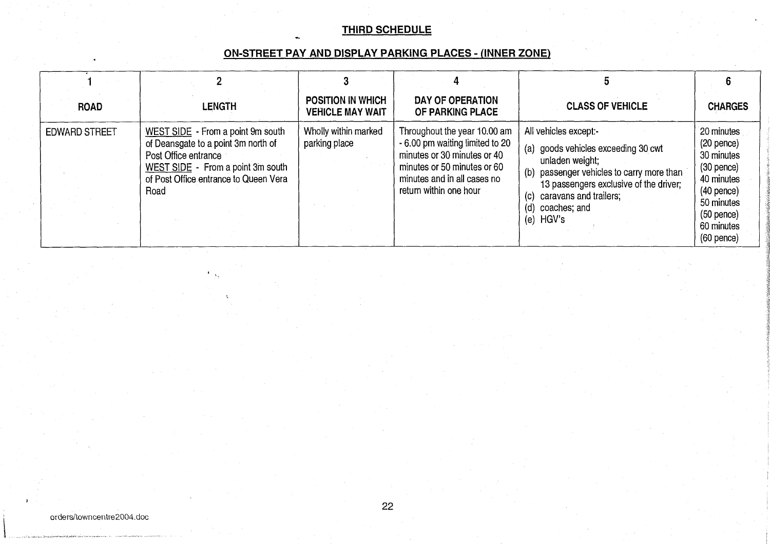# THIRD SCHEDULE

# ON-STREET PAY AND DISPLAY PARKING PLACES - (INNER ZONE)

| <b>ROAD</b>          | <b>LENGTH</b>                                                                                                                                                                          | <b>POSITION IN WHICH</b><br><b>VEHICLE MAY WAIT</b> | DAY OF OPERATION<br>OF PARKING PLACE                                                                                                                                                   | <b>CLASS OF VEHICLE</b>                                                                                                                                                                                                                  | <b>CHARGES</b>                                                                                                                                     |
|----------------------|----------------------------------------------------------------------------------------------------------------------------------------------------------------------------------------|-----------------------------------------------------|----------------------------------------------------------------------------------------------------------------------------------------------------------------------------------------|------------------------------------------------------------------------------------------------------------------------------------------------------------------------------------------------------------------------------------------|----------------------------------------------------------------------------------------------------------------------------------------------------|
| <b>EDWARD STREET</b> | WEST SIDE - From a point 9m south<br>of Deansgate to a point 3m north of<br>Post Office entrance<br>WEST SIDE - From a point 3m south<br>of Post Office entrance to Queen Vera<br>Road | Wholly within marked<br>parking place               | Throughout the year 10.00 am<br>- 6.00 pm waiting limited to 20<br>minutes or 30 minutes or 40<br>minutes or 50 minutes or 60<br>minutes and in all cases no<br>return within one hour | All vehicles except:-<br>(a) goods vehicles exceeding 30 cwt<br>unladen weight;<br>(b) passenger vehicles to carry more than<br>13 passengers exclusive of the driver;<br>caravans and trailers;<br>(c)<br>(d) coaches; and<br>(e) HGV's | 20 minutes<br>$(20$ pence)<br>30 minutes<br>$(30$ pence)<br>40 minutes<br>$(40$ pence)<br>50 minutes<br>$(50$ pence)<br>60 minutes<br>$(60$ pence) |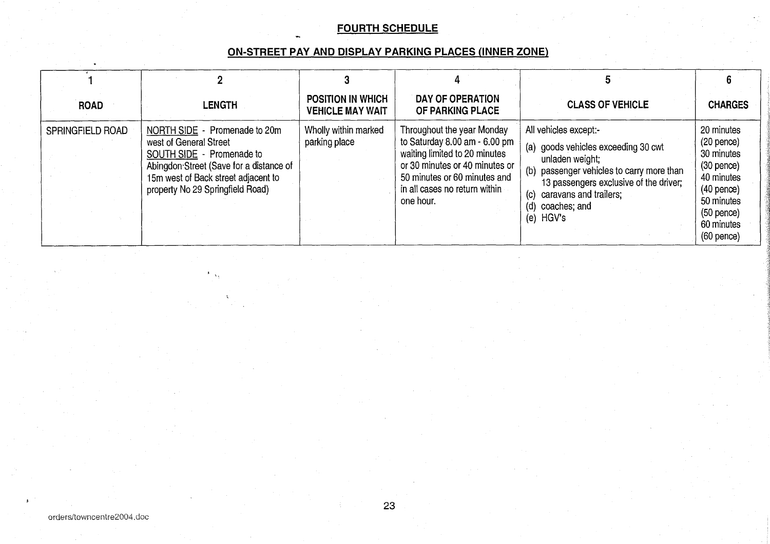# FOURTH SCHEDULE

# ON-STREET PAY AND DISPLAY PARKING PLACES (INNER ZONE)

| <b>ROAD</b>      | <b>LENGTH</b>                                                                                                                                                                                              | <b>POSITION IN WHICH</b><br><b>VEHICLE MAY WAIT</b> | DAY OF OPERATION<br>OF PARKING PLACE                                                                                                                                                                                           | <b>CLASS OF VEHICLE</b>                                                                                                                                                                                                                           | <b>CHARGES</b>                                                                                                                                     |
|------------------|------------------------------------------------------------------------------------------------------------------------------------------------------------------------------------------------------------|-----------------------------------------------------|--------------------------------------------------------------------------------------------------------------------------------------------------------------------------------------------------------------------------------|---------------------------------------------------------------------------------------------------------------------------------------------------------------------------------------------------------------------------------------------------|----------------------------------------------------------------------------------------------------------------------------------------------------|
| SPRINGFIELD ROAD | NORTH SIDE - Promenade to 20m<br>west of General Street<br>SOUTH SIDE - Promenade to<br>Abingdon Street (Save for a distance of<br>15m west of Back street adjacent to<br>property No 29 Springfield Road) | Wholly within marked<br>parking place               | Throughout the year Monday<br>to Saturday $8.00 \text{ am} - 6.00 \text{ pm}$<br>waiting limited to 20 minutes<br>or 30 minutes or 40 minutes or<br>50 minutes or 60 minutes and<br>in all cases no return within<br>one hour. | All vehicles except:-<br>(a) goods vehicles exceeding 30 cwt<br>unladen weight;<br>passenger vehicles to carry more than<br>(b)<br>13 passengers exclusive of the driver;<br>caravans and trailers;<br>(c)<br>coaches; and<br>(d)<br>HGV's<br>(e) | 20 minutes<br>$(20$ pence)<br>30 minutes<br>$(30$ pence)<br>40 minutes<br>$(40$ pence)<br>50 minutes<br>$(50$ pence)<br>60 minutes<br>$(60$ pence) |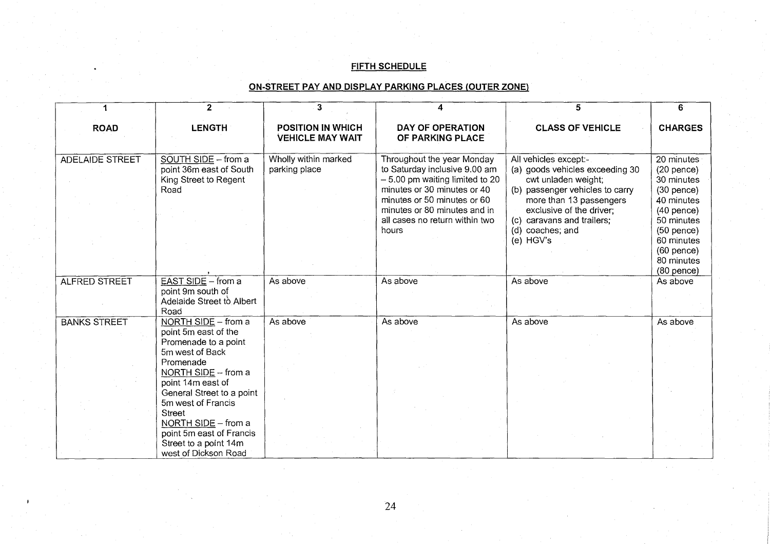# FIFTH SCHEDULE

# ON-STREET PAY AND DISPLAY PARKING PLACES (OUTER ZONE)

|                        | $\overline{2}$                                                                                                                                                                     | 3                                                   | 4                                                                                                                                                                                                                                        | 5                                                                                                                                                                                                                                        | 6                                                                                                                                                  |
|------------------------|------------------------------------------------------------------------------------------------------------------------------------------------------------------------------------|-----------------------------------------------------|------------------------------------------------------------------------------------------------------------------------------------------------------------------------------------------------------------------------------------------|------------------------------------------------------------------------------------------------------------------------------------------------------------------------------------------------------------------------------------------|----------------------------------------------------------------------------------------------------------------------------------------------------|
| <b>ROAD</b>            | <b>LENGTH</b>                                                                                                                                                                      | <b>POSITION IN WHICH</b><br><b>VEHICLE MAY WAIT</b> | <b>DAY OF OPERATION</b><br>OF PARKING PLACE                                                                                                                                                                                              | <b>CLASS OF VEHICLE</b>                                                                                                                                                                                                                  | <b>CHARGES</b>                                                                                                                                     |
| <b>ADELAIDE STREET</b> | SOUTH SIDE - from a<br>point 36m east of South<br>King Street to Regent<br>Road                                                                                                    | Wholly within marked<br>parking place               | Throughout the year Monday<br>to Saturday inclusive 9.00 am<br>$-5.00$ pm waiting limited to 20<br>minutes or 30 minutes or 40<br>minutes or 50 minutes or 60<br>minutes or 80 minutes and in<br>all cases no return within two<br>hours | All vehicles except:-<br>(a) goods vehicles exceeding 30<br>cwt unladen weight;<br>(b) passenger vehicles to carry<br>more than 13 passengers<br>exclusive of the driver;<br>(c) caravans and trailers;<br>(d) coaches; and<br>(e) HGV's | 20 minutes<br>$(20$ pence)<br>30 minutes<br>$(30$ pence)<br>40 minutes<br>$(40$ pence)<br>50 minutes<br>$(50$ pence)<br>60 minutes<br>$(60$ pence) |
|                        |                                                                                                                                                                                    |                                                     |                                                                                                                                                                                                                                          |                                                                                                                                                                                                                                          | 80 minutes<br>$(80$ pence)                                                                                                                         |
| ALFRED STREET          | EAST SIDE - from a<br>point 9m south of<br>Adelaide Street to Albert<br>Road                                                                                                       | As above                                            | As above                                                                                                                                                                                                                                 | As above                                                                                                                                                                                                                                 | As above                                                                                                                                           |
| <b>BANKS STREET</b>    | NORTH SIDE - from a<br>point 5m east of the<br>Promenade to a point<br>5m west of Back<br>Promenade<br>NORTH SIDE - from a                                                         | As above                                            | As above                                                                                                                                                                                                                                 | As above                                                                                                                                                                                                                                 | As above                                                                                                                                           |
|                        | point 14m east of<br>General Street to a point<br>5m west of Francis<br>Street<br>NORTH SIDE - from a<br>point 5m east of Francis<br>Street to a point 14m<br>west of Dickson Road |                                                     |                                                                                                                                                                                                                                          |                                                                                                                                                                                                                                          |                                                                                                                                                    |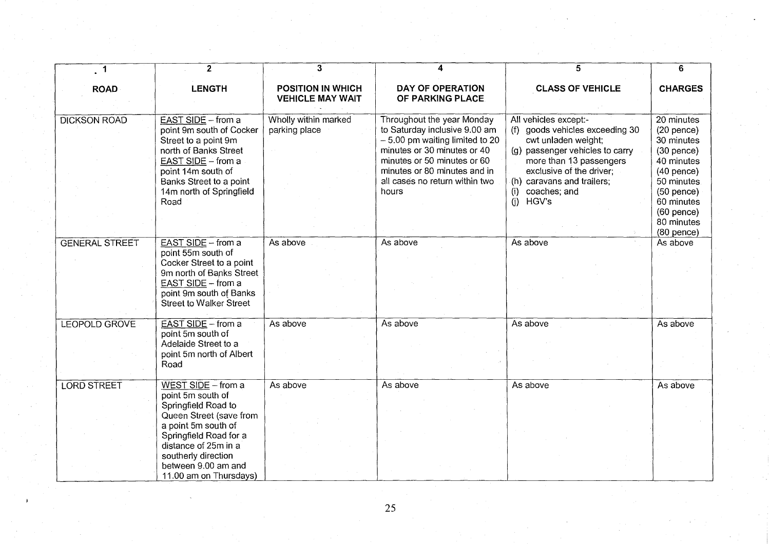| $\sqrt{1}$            | $\overline{2}$                                            | $\mathbf{3}$                                        |                                             | 5                                          | 6                          |
|-----------------------|-----------------------------------------------------------|-----------------------------------------------------|---------------------------------------------|--------------------------------------------|----------------------------|
| <b>ROAD</b>           | <b>LENGTH</b>                                             | <b>POSITION IN WHICH</b><br><b>VEHICLE MAY WAIT</b> | <b>DAY OF OPERATION</b><br>OF PARKING PLACE | <b>CLASS OF VEHICLE</b>                    | <b>CHARGES</b>             |
| <b>DICKSON ROAD</b>   | EAST SIDE - from a                                        | Wholly within marked                                | Throughout the year Monday                  | All vehicles except:-                      | 20 minutes                 |
|                       | point 9m south of Cocker                                  | parking place                                       | to Saturday inclusive 9.00 am               | (f) goods vehicles exceeding 30            | $(20$ pence)               |
|                       | Street to a point 9m                                      |                                                     | $-5.00$ pm waiting limited to 20            | cwt unladen weight;                        | 30 minutes                 |
|                       | north of Banks Street                                     |                                                     | minutes or 30 minutes or 40                 | (g) passenger vehicles to carry            | $(30$ pence $)$            |
|                       | EAST SIDE - from a                                        |                                                     | minutes or 50 minutes or 60                 | more than 13 passengers                    | 40 minutes                 |
|                       | point 14m south of                                        |                                                     | minutes or 80 minutes and in                | exclusive of the driver;                   | $(40$ pence)               |
|                       | Banks Street to a point                                   |                                                     | all cases no return within two<br>hours     | (h) caravans and trailers;<br>coaches; and | 50 minutes.                |
|                       | 14m north of Springfield<br>Road                          |                                                     |                                             | (i)<br>(i)<br>HGV's                        | $(50$ pence)<br>60 minutes |
|                       |                                                           |                                                     |                                             |                                            | $(60$ pence $)$            |
|                       |                                                           |                                                     |                                             |                                            | 80 minutes                 |
|                       |                                                           |                                                     |                                             |                                            | $(80$ pence)               |
| <b>GENERAL STREET</b> | EAST SIDE - from a                                        | As above                                            | As above                                    | As above                                   | As above                   |
|                       | point 55m south of                                        |                                                     |                                             |                                            |                            |
|                       | Cocker Street to a point                                  |                                                     |                                             |                                            |                            |
|                       | 9m north of Banks Street                                  |                                                     |                                             |                                            |                            |
|                       | EAST SIDE - from a                                        |                                                     |                                             |                                            |                            |
|                       | point 9m south of Banks<br><b>Street to Walker Street</b> |                                                     |                                             |                                            |                            |
|                       |                                                           |                                                     |                                             |                                            |                            |
| LEOPOLD GROVE         | EAST SIDE - from a                                        | As above                                            | As above                                    | As above                                   | As above                   |
|                       | point 5m south of                                         |                                                     |                                             |                                            |                            |
|                       | Adelaide Street to a                                      |                                                     |                                             |                                            |                            |
|                       | point 5m north of Albert                                  |                                                     |                                             |                                            |                            |
|                       | Road                                                      |                                                     |                                             |                                            |                            |
|                       |                                                           |                                                     |                                             |                                            |                            |
| <b>LORD STREET</b>    | WEST SIDE - from a<br>point 5m south of                   | As above                                            | As above                                    | As above                                   | As above                   |
|                       | Springfield Road to                                       |                                                     |                                             |                                            |                            |
|                       | Queen Street (save from                                   |                                                     |                                             |                                            |                            |
|                       | a point 5m south of                                       |                                                     |                                             |                                            |                            |
|                       | Springfield Road for a                                    |                                                     |                                             |                                            |                            |
|                       | distance of 25m in a                                      |                                                     |                                             |                                            |                            |
|                       | southerly direction                                       |                                                     |                                             |                                            |                            |
|                       | between 9.00 am and                                       |                                                     |                                             |                                            |                            |
|                       | 11.00 am on Thursdays)                                    |                                                     |                                             |                                            |                            |

25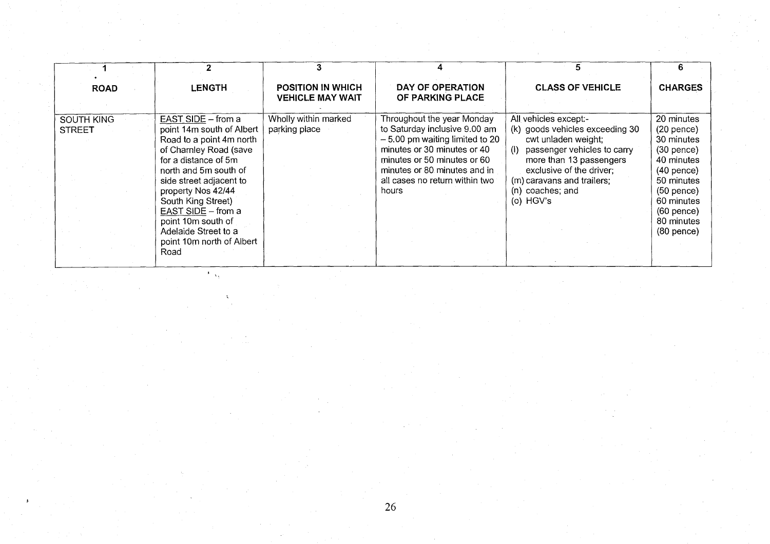| <b>ROAD</b>                        | <b>LENGTH</b>                                                                                                                                                                                                                                                                                                                          | <b>POSITION IN WHICH</b><br><b>VEHICLE MAY WAIT</b> | DAY OF OPERATION<br>OF PARKING PLACE                                                                                                                                                                                                     | <b>CLASS OF VEHICLE</b>                                                                                                                                                                                                                               | <b>CHARGES</b>                                                                                                                                                                         |
|------------------------------------|----------------------------------------------------------------------------------------------------------------------------------------------------------------------------------------------------------------------------------------------------------------------------------------------------------------------------------------|-----------------------------------------------------|------------------------------------------------------------------------------------------------------------------------------------------------------------------------------------------------------------------------------------------|-------------------------------------------------------------------------------------------------------------------------------------------------------------------------------------------------------------------------------------------------------|----------------------------------------------------------------------------------------------------------------------------------------------------------------------------------------|
| <b>SOUTH KING</b><br><b>STREET</b> | EAST SIDE - from a<br>point 14m south of Albert<br>Road to a point 4m north<br>of Charnley Road (save<br>for a distance of 5m<br>north and 5m south of<br>side street adjacent to<br>property Nos 42/44<br>South King Street)<br>EAST SIDE - from a<br>point 10m south of<br>Adelaide Street to a<br>point 10m north of Albert<br>Road | Wholly within marked<br>parking place               | Throughout the year Monday<br>to Saturday inclusive 9.00 am<br>$-5.00$ pm waiting limited to 20<br>minutes or 30 minutes or 40<br>minutes or 50 minutes or 60<br>minutes or 80 minutes and in<br>all cases no return within two<br>hours | All vehicles except:-<br>(k) goods vehicles exceeding 30<br>cwt unladen weight;<br>passenger vehicles to carry<br>$\langle$ i<br>more than 13 passengers<br>exclusive of the driver;<br>(m) caravans and trailers;<br>(n) coaches; and<br>(o) $HGV's$ | 20 minutes<br>$(20$ pence $)$<br>30 minutes<br>$(30$ pence)<br>40 minutes<br>$(40$ pence)<br>50 minutes<br>$(50$ pence)<br>60 minutes<br>$(60$ pence $)$<br>80 minutes<br>$(80$ pence) |

 $\lambda_{\rm{max}}$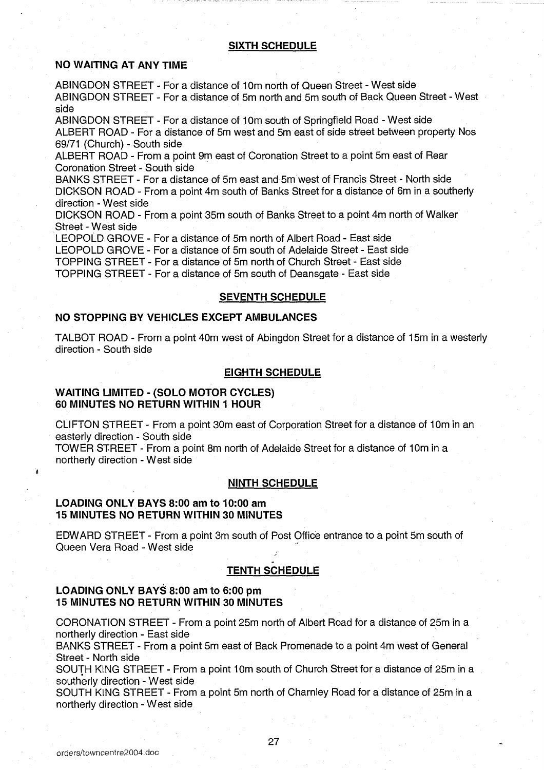#### SIXTH SCHEDULE

## NO WAITING AT ANY TIME

ABINGDON STREET - For a distance of 10m north of Queen Street - West side ABINGDON STREET - For a distance of 5m north and 5m south of Back Queen Street - West side

ABINGDON STREET - For a distance of 10m south of Springfield Road - West side ALBERT ROAD - For <sup>a</sup> distance of 5m west and 5m east of side street between property Nos 69/71 (Church) - South side

ALBERT ROAD - From a point 9m east of Coronation Street to <sup>a</sup> point 5m east of Rear Coronation Street - South side

BANKS STREET - For a distance of 5m east and 5m west of Francis Street - North side DICKSON ROAD - From <sup>a</sup> point 4m south of Banks Street for a distance of 6m in a southerly direction - West side

DICKSON ROAD - From <sup>a</sup> point 35m south of Banks Street to <sup>a</sup> point 4m north of Walker Street - West side

LEOPOLD GROVE - For a distance of 5m north of Albert Road - East side LEOPOLD GROVE - For a distance of 5m south of Adelaide Street - East side TOPPING STREET - For a distance of 5m north of Church Street - East side TOPPING STREET - For a distance of 5m south of Deansgate - East side

#### **SEVENTH SCHEDULE**

# NO STOPPING BY VEHICLES EXCEPT AMBULANCES

TALBOT ROAD - From a point 40m west of Abingdon Street for <sup>a</sup> distance of 15m in a westerly direction - South side

### EIGHTH SCHEDULE

## WAITING LIMITED - (SOLO MOTOR CYCLES) 60 MINUTES NO RETURN WITHIN <sup>1</sup> HOUR

CLIFTON STREET - From a point 30m east of Corporation Street for a distance of 10m in an easterly direction - South side

TOWER STREET - From a point 8m north of Adelaide Street for a distance of 10m in a northerly direction - West side

## NINTH SCHEDULE

## LOADING ONLY BAYS 8:00 am to 10:00 am 15 MINUTES NO RETURN WITHIN <sup>30</sup> MINUTES

EDWARD STREET - From a point 3m south of Post Office entrance to <sup>a</sup> point 5m south of Queen Vera Road - West side

#### TENTH SCHEDULE

### LOADING ONLY BAYS 8:00 am to 6:00 pm 15 MINUTES NO RETURN WITHIN 30 MINUTES

CORONATION STREET - From a point 25m north of Albert Road for a distance of 25m in a northerly direction - East side

BANKS STREET - From a point 5m east of Back Promenade to a point 4m west of General Street - North side

SOUTH KING STREET - From a point 10m south of Church Street for a distance of 25m in a southerly direction - West side

SOUTH KING STREET - From a point 5m north of Charnley Road for a distance of 25m in <sup>a</sup> northerly direction - West side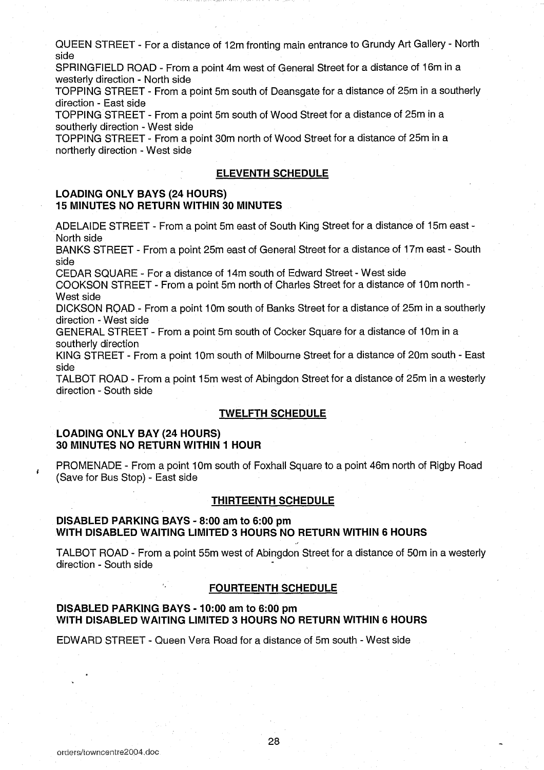QUEEN STREET - For a distance of 12m fronting main entrance to Grundy Art Gallery - North side

SPRINGFIELD ROAD - From a point 4m west of General Street for a distance of 16m in <sup>a</sup> westerly direction - North side

TOPPING STREET - From a point 5m south of Deansgate for a distance of 25m in a southerly direction - East side

TOPPING STREET - From a point 5m south of Wood Street for a distance of 25m in a southerly direction - West side

TOPPING STREET - From a point 30m north of Wood Street for a distance of 25m in a northerly direction - West side

### ELEVENTH SCHEDULE

# LOADING ONLY BAYS (24 HOURS) 15 MINUTES NO RETURN WITHIN 30 MINUTES

ADELAIDE STREET - From a point 5m east of South King Street for a distance of 15m east - North side

BANKS STREET - From <sup>a</sup> point 25m east of General Street for <sup>a</sup> distance of 17m east - South side

CEDAR SQUARE - For a distance of 14m south of Edward Street - West side

COOKSON STREET - From a point 5m north of Charles Street for a distance of 10m north - West side

DICKSON ROAD - From <sup>a</sup> point 10m south of Banks Street for a distance of 25m in <sup>a</sup> southerly direction - West side

GENERAL STREET - From a point 5m south of Cocker Square for a distance of 10m in a southerly direction

KING STREET - From a point 10m south of Milbourne Street for a distance of 20m south -East side

TALBOT ROAD - From <sup>a</sup> point 15m west of Abingdon Street for a distance of 25m in a westerly direction - South side

## TWELFTH SCHEDULE

#### LOADING ONLY BAY (24 HOURS) 30 MINUTES NO RETURN WITHIN <sup>1</sup> HOUR

PROMENADE - From a point 10m south of Foxhall Square to a point 46m north of Rigby Road (Save for Bus Stop) - East side

### THIRTEENTH SCHEDULE

### DISABLED PARKING BAYS - 8:00 am to 6:00 pm WITH DISABLED WAITING LIMITED <sup>3</sup> HOURS NO RETURN WITHIN <sup>6</sup> HOURS

TALBOT ROAD- From a point 55m west of Abingdon Street for a distance of 50m in a westerly direction - South side

#### FOURTEENTH SCHEDULE

### DISABLED PARKING BAYS - 10:00 am to 6:00 pm WITH DISABLED WAITING LIMITED <sup>3</sup> HOURS NO RETURN WITHIN 6 HOURS

EDWARD STREET - Queen Vera Road for <sup>a</sup> distance of 5m south - West side

ł